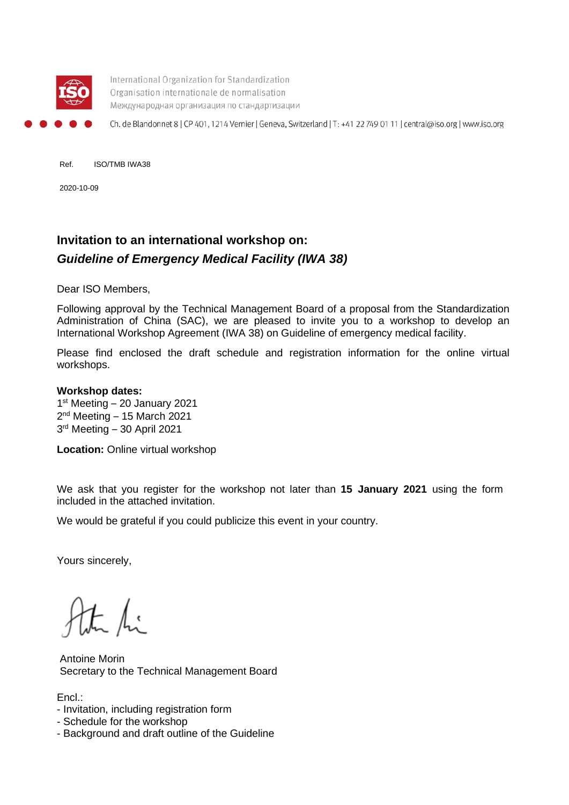

International Organization for Standardization Organisation internationale de normalisation Международная организация по стандартизации

Ch. de Blandonnet 8 | CP 401, 1214 Vernier | Geneva, Switzerland | T: +41 22 749 01 11 | central@iso.org | www.iso.org

Ref. ISO/TMB IWA38

2020-10-09

## **Invitation to an international workshop on:**  *Guideline of Emergency Medical Facility (IWA 38)*

Dear ISO Members,

Following approval by the Technical Management Board of a proposal from the Standardization Administration of China (SAC), we are pleased to invite you to a workshop to develop an International Workshop Agreement (IWA 38) on Guideline of emergency medical facility.

Please find enclosed the draft schedule and registration information for the online virtual workshops.

#### **Workshop dates:**

1<sup>st</sup> Meeting – 20 January 2021 2<sup>nd</sup> Meeting - 15 March 2021 3rd Meeting – 30 April 2021

**Location: Online virtual workshop** 

We ask that you register for the workshop not later than **15 January 2021** using the [form](https://www.nen.nl/Evenementen/Evenementdetailpagina/International-Workshop-Agreement-on-defining-professional-farmer-organizations.htm)  included in the attached invitation.

We would be grateful if you could publicize this event in your country.

Yours sincerely,

 $\frac{1}{2}$   $\int_{\mathbb{R}^3}$ 

Antoine Morin Secretary to the Technical Management Board

Encl.:

- Invitation, including registration form
- Schedule for the workshop
- Background and draft outline of the Guideline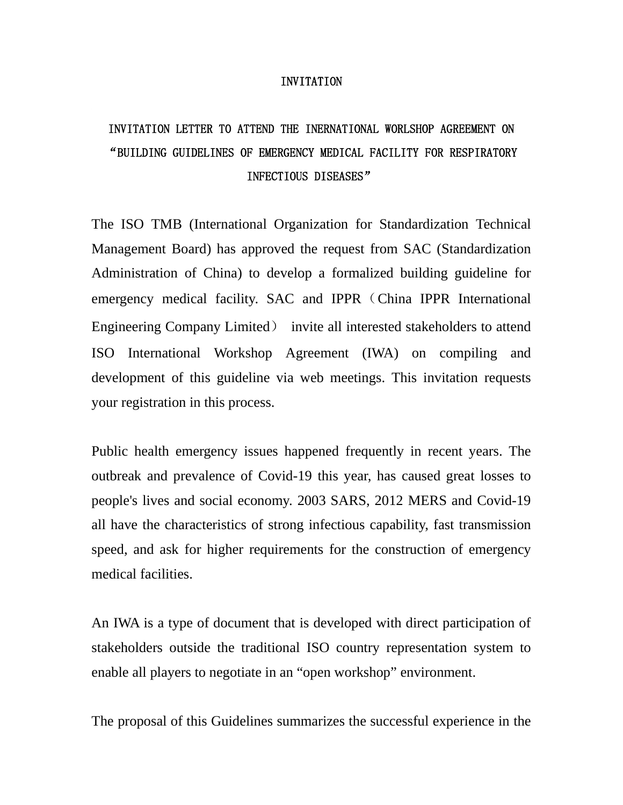#### INVITATION

# INVITATION LETTER TO ATTEND THE INERNATIONAL WORLSHOP AGREEMENT ON "BUILDING GUIDELINES OF EMERGENCY MEDICAL FACILITY FOR RESPIRATORY INFECTIOUS DISEASES"

The ISO TMB (International Organization for Standardization Technical Management Board) has approved the request from SAC (Standardization Administration of China) to develop a formalized building guideline for emergency medical facility. SAC and IPPR (China IPPR International Engineering Company Limited) invite all interested stakeholders to attend ISO International Workshop Agreement (IWA) on compiling and development of this guideline via web meetings. This invitation requests your registration in this process.

Public health emergency issues happened frequently in recent years. The outbreak and prevalence of Covid-19 this year, has caused great losses to people's lives and social economy. 2003 SARS, 2012 MERS and Covid-19 all have the characteristics of strong infectious capability, fast transmission speed, and ask for higher requirements for the construction of emergency medical facilities.

An IWA is a type of document that is developed with direct participation of stakeholders outside the traditional ISO country representation system to enable all players to negotiate in an "open workshop" environment.

The proposal of this Guidelines summarizes the successful experience in the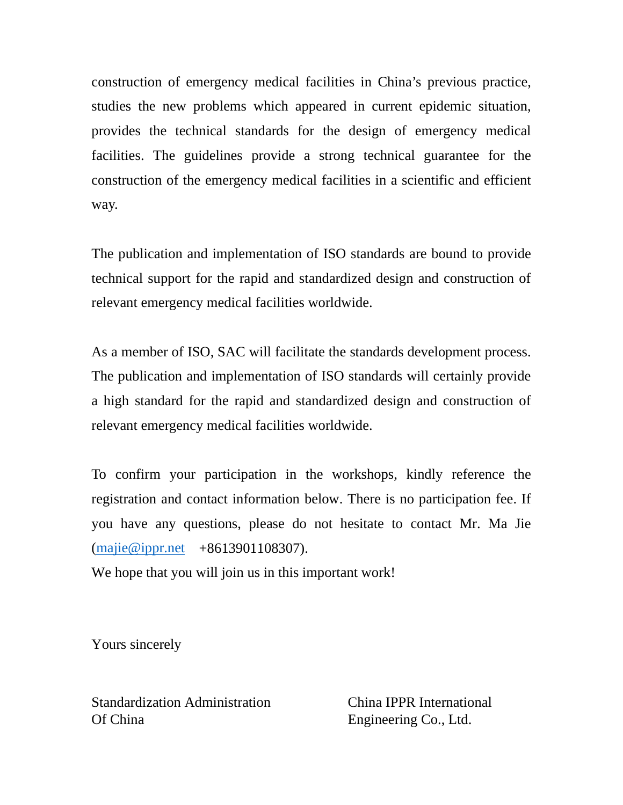construction of emergency medical facilities in China's previous practice, studies the new problems which appeared in current epidemic situation, provides the technical standards for the design of emergency medical facilities. The guidelines provide a strong technical guarantee for the construction of the emergency medical facilities in a scientific and efficient way.

The publication and implementation of ISO standards are bound to provide technical support for the rapid and standardized design and construction of relevant emergency medical facilities worldwide.

As a member of ISO, SAC will facilitate the standards development process. The publication and implementation of ISO standards will certainly provide a high standard for the rapid and standardized design and construction of relevant emergency medical facilities worldwide.

To confirm your participation in the workshops, kindly reference the registration and contact information below. There is no participation fee. If you have any questions, please do not hesitate to contact Mr. Ma Jie [\(majie@ippr.net](mailto:majie@ippr.net) +8613901108307).

We hope that you will join us in this important work!

Yours sincerely

Standardization Administration China IPPR International Of China Engineering Co., Ltd.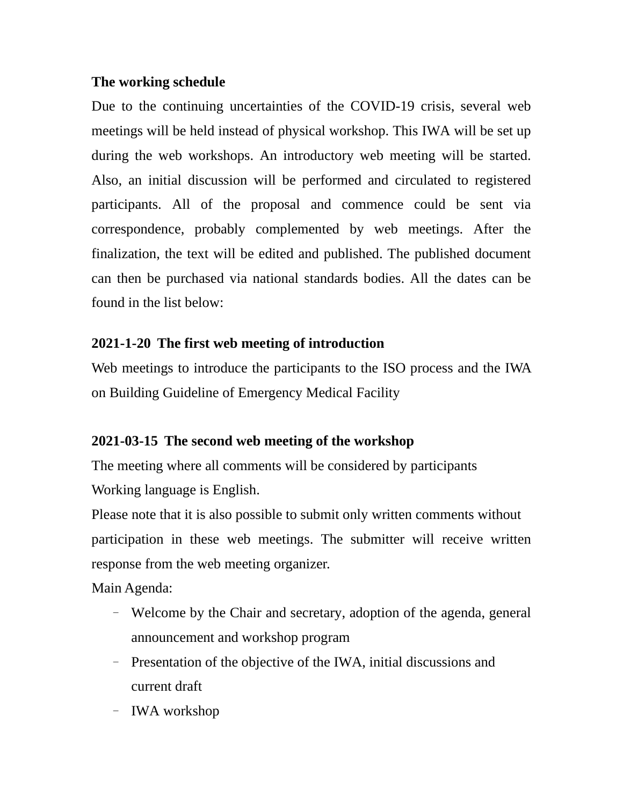## **The working schedule**

Due to the continuing uncertainties of the COVID-19 crisis, several web meetings will be held instead of physical workshop. This IWA will be set up during the web workshops. An introductory web meeting will be started. Also, an initial discussion will be performed and circulated to registered participants. All of the proposal and commence could be sent via correspondence, probably complemented by web meetings. After the finalization, the text will be edited and published. The published document can then be purchased via national standards bodies. All the dates can be found in the list below:

## **2021-1-20 The first web meeting of introduction**

Web meetings to introduce the participants to the ISO process and the IWA on Building Guideline of Emergency Medical Facility

## **2021-03-15 The second web meeting of the workshop**

The meeting where all comments will be considered by participants Working language is English.

Please note that it is also possible to submit only written comments without participation in these web meetings. The submitter will receive written response from the web meeting organizer.

Main Agenda:

- Welcome by the Chair and secretary, adoption of the agenda, general announcement and workshop program
- Presentation of the objective of the IWA, initial discussions and current draft
- IWA workshop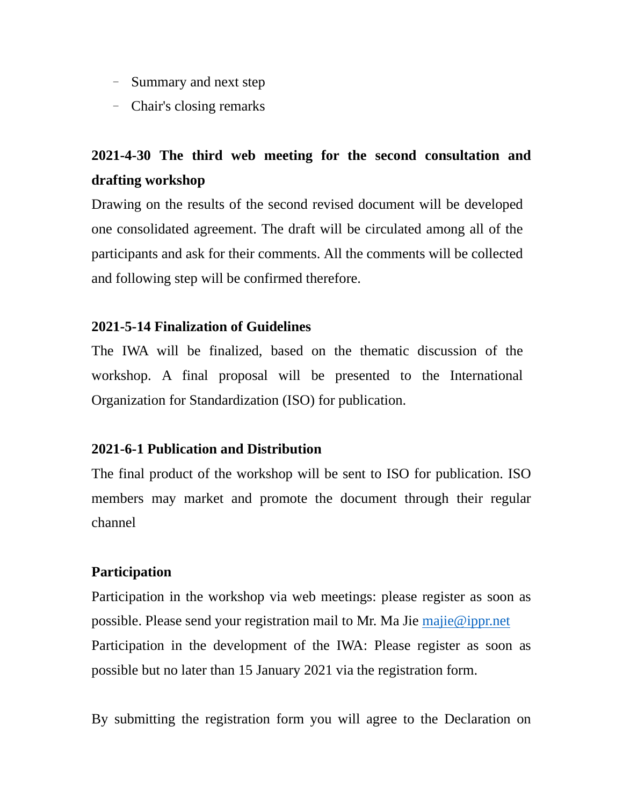- Summary and next step
- Chair's closing remarks

# **2021-4-30 The third web meeting for the second consultation and drafting workshop**

Drawing on the results of the second revised document will be developed one consolidated agreement. The draft will be circulated among all of the participants and ask for their comments. All the comments will be collected and following step will be confirmed therefore.

## **2021-5-14 Finalization of Guidelines**

The IWA will be finalized, based on the thematic discussion of the workshop. A final proposal will be presented to the International Organization for Standardization (ISO) for publication.

## **2021-6-1 Publication and Distribution**

The final product of the workshop will be sent to ISO for publication. ISO members may market and promote the document through their regular channel

## **Participation**

Participation in the workshop via web meetings: please register as soon as possible. Please send your registration mail to Mr. Ma Jie majie@ippr.net Participation in the development of the IWA: Please register as soon as possible but no later than 15 January 2021 via the registration form.

By submitting the registration form you will agree to the Declaration on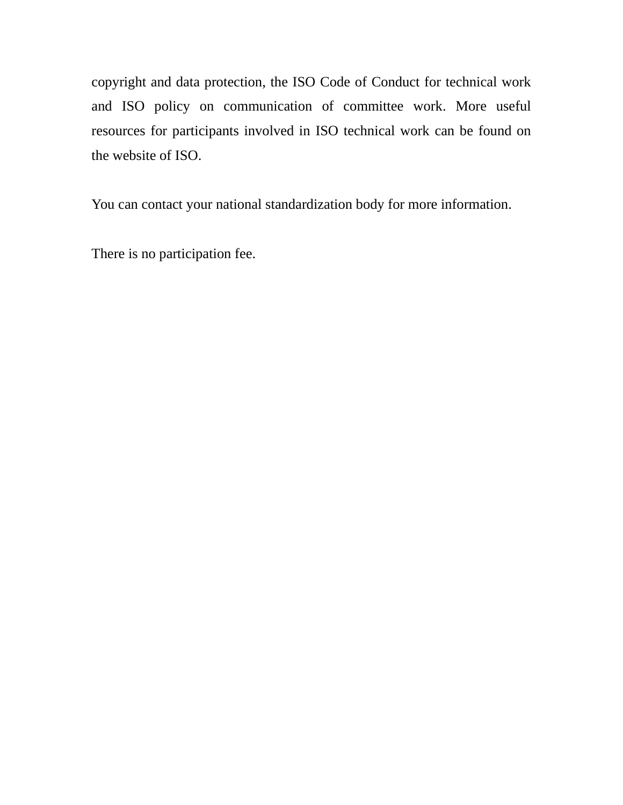copyright and data protection, the ISO Code of Conduct for technical work and ISO policy on communication of committee work. More useful resources for participants involved in ISO technical work can be found on the website of ISO.

You can contact your national standardization body for more information.

There is no participation fee.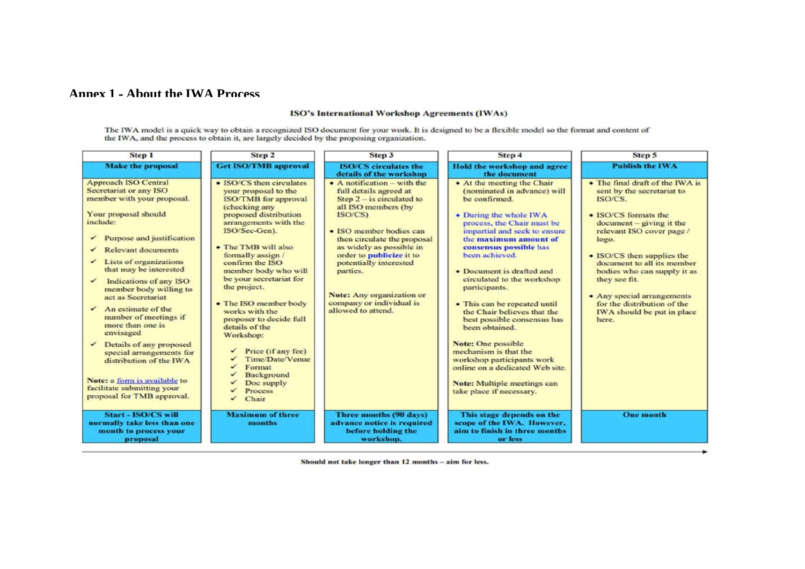### **Annex 1 ‐ About the IWA Process**

#### ISO's International Workshop Agreements (IWAs)

The IWA model is a quick way to obtain a recognized ISO document for your work. It is designed to be a flexible model so the format and content of the IWA, and the process to obtain it, are largely decided by the proposing

| <b>Step 1</b>                                                                                                                                                                                                                                                                                                                                                                                                                                                                                                                                                                                           | Step 2                                                                                                                                                                                                                                                                                                                                                                                                                                                                                                               | Step 3                                                                                                                                                                                                                                                                                                                                                        | Step 4                                                                                                                                                                                                                                                                                                                                                                                                                                                                                                                                                                                                         | Step 5                                                                                                                                                                                                                                                                                                                                                                               |
|---------------------------------------------------------------------------------------------------------------------------------------------------------------------------------------------------------------------------------------------------------------------------------------------------------------------------------------------------------------------------------------------------------------------------------------------------------------------------------------------------------------------------------------------------------------------------------------------------------|----------------------------------------------------------------------------------------------------------------------------------------------------------------------------------------------------------------------------------------------------------------------------------------------------------------------------------------------------------------------------------------------------------------------------------------------------------------------------------------------------------------------|---------------------------------------------------------------------------------------------------------------------------------------------------------------------------------------------------------------------------------------------------------------------------------------------------------------------------------------------------------------|----------------------------------------------------------------------------------------------------------------------------------------------------------------------------------------------------------------------------------------------------------------------------------------------------------------------------------------------------------------------------------------------------------------------------------------------------------------------------------------------------------------------------------------------------------------------------------------------------------------|--------------------------------------------------------------------------------------------------------------------------------------------------------------------------------------------------------------------------------------------------------------------------------------------------------------------------------------------------------------------------------------|
| <b>Make the proposal</b>                                                                                                                                                                                                                                                                                                                                                                                                                                                                                                                                                                                | <b>Get ISO/TMB approval</b>                                                                                                                                                                                                                                                                                                                                                                                                                                                                                          | <b>ISO/CS</b> circulates the<br>details of the workshop                                                                                                                                                                                                                                                                                                       | Hold the workshop and agree<br>the document                                                                                                                                                                                                                                                                                                                                                                                                                                                                                                                                                                    | <b>Publish the IWA</b>                                                                                                                                                                                                                                                                                                                                                               |
| <b>Approach ISO Central</b><br>Secretariat or any ISO<br>member with your proposal.<br>Your proposal should<br>include:<br>Purpose and justification<br>✓<br><b>Relevant documents</b><br>Lists of organizations<br>that may be interested<br>Indications of any ISO<br>member body willing to<br>act as Secretariat<br>An estimate of the<br>✓<br>number of meetings if<br>more than one is<br>envisaged<br>Details of any proposed<br>$\checkmark$<br>special arrangements for<br>distribution of the IWA<br>Note: a form is available to<br>facilitate submitting your<br>proposal for TMB approval. | • ISO/CS then circulates<br>your proposal to the<br><b>ISO/TMB</b> for approval<br>(checking any<br>proposed distribution<br>arrangements with the<br>ISO/Sec-Gen).<br>• The TMB will also<br>formally assign /<br>confirm the ISO<br>member body who will<br>be your secretariat for<br>the project.<br>• The ISO member body<br>works with the<br>proposer to decide full<br>details of the<br>Workshop:<br>Price (if any fee)<br><b>Time/Date/Venue</b><br>Format<br>Background<br>Doc supply<br>Process<br>Chair | • A notification – with the<br>full details agreed at<br>Step $2 -$ is circulated to<br>all ISO members (by<br>ISO/CS)<br>• ISO member bodies can<br>then circulate the proposal<br>as widely as possible in<br>order to publicize it to<br>potentially interested<br>parties.<br>Note: Any organization or<br>company or individual is<br>allowed to attend. | • At the meeting the Chair<br>(nominated in advance) will<br>be confirmed.<br>• During the whole IWA<br>process, the Chair must be<br>impartial and seek to ensure<br>the maximum amount of<br>consensus possible has<br>been achieved.<br>• Document is drafted and<br>circulated to the workshop<br>participants.<br>• This can be repeated until<br>the Chair believes that the<br>best possible consensus has<br>been obtained.<br>Note: One possible<br>mechanism is that the<br>workshop participants work<br>online on a dedicated Web site.<br>Note: Multiple meetings can<br>take place if necessary. | • The final draft of the IWA is<br>sent by the secretariat to<br>ISO/CS.<br>• ISO/CS formats the<br>$document - giving it the$<br>relevant ISO cover page /<br>logo.<br>• ISO/CS then supplies the<br>document to all its member<br>bodies who can supply it as<br>they see fit.<br>• Any special arrangements<br>for the distribution of the<br>IWA should be put in place<br>here. |
| Start - ISO/CS will<br>normally take less than one<br>month to process your<br>proposal                                                                                                                                                                                                                                                                                                                                                                                                                                                                                                                 | <b>Maximum of three</b><br>months                                                                                                                                                                                                                                                                                                                                                                                                                                                                                    | Three months (90 days)<br>advance notice is required<br>before holding the<br>workshop.                                                                                                                                                                                                                                                                       | This stage depends on the<br>scope of the IWA. However,<br>aim to finish in three months<br>or less                                                                                                                                                                                                                                                                                                                                                                                                                                                                                                            | <b>One month</b>                                                                                                                                                                                                                                                                                                                                                                     |

Should not take longer than 12 months - aim for less.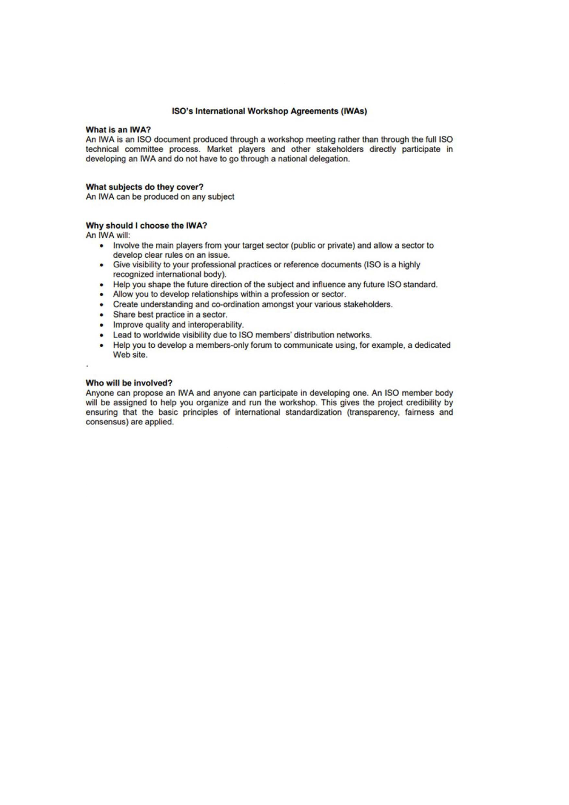#### ISO's International Workshop Agreements (IWAs)

#### What is an IWA?

An IWA is an ISO document produced through a workshop meeting rather than through the full ISO technical committee process. Market players and other stakeholders directly participate in developing an IWA and do not have to go through a national delegation.

#### What subjects do they cover?

An IWA can be produced on any subject

#### Why should I choose the IWA?

An IWA will:

- Involve the main players from your target sector (public or private) and allow a sector to develop clear rules on an issue.
- Give visibility to your professional practices or reference documents (ISO is a highly recognized international body).
- Help you shape the future direction of the subject and influence any future ISO standard.
- . Allow you to develop relationships within a profession or sector.
- Create understanding and co-ordination amongst your various stakeholders.
- Share best practice in a sector.
- Improve quality and interoperability.
- Lead to worldwide visibility due to ISO members' distribution networks.
- Help you to develop a members-only forum to communicate using, for example, a dedicated Web site.

#### Who will be involved?

Anyone can propose an IWA and anyone can participate in developing one. An ISO member body will be assigned to help you organize and run the workshop. This gives the project credibility by ensuring that the basic principles of international standardization (transparency, fairness and consensus) are applied.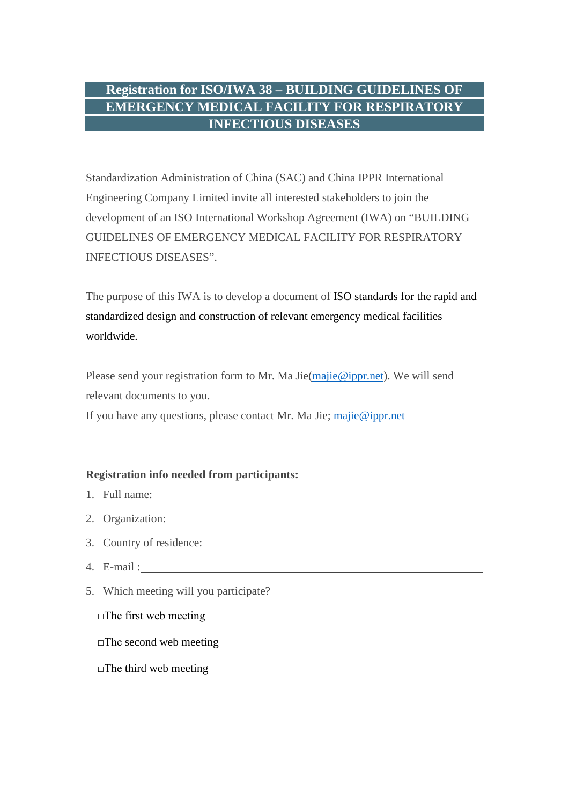## **Registration for ISO/IWA 38 – BUILDING GUIDELINES OF EMERGENCY MEDICAL FACILITY FOR RESPIRATORY INFECTIOUS DISEASES**

Standardization Administration of China (SAC) and China IPPR International Engineering Company Limited invite all interested stakeholders to join the development of an ISO International Workshop Agreement (IWA) on "BUILDING GUIDELINES OF EMERGENCY MEDICAL FACILITY FOR RESPIRATORY INFECTIOUS DISEASES".

The purpose of this IWA is to develop a document of ISO standards for the rapid and standardized design and construction of relevant emergency medical facilities worldwide.

Please send your registration form to Mr. Ma Jie[\(majie@ippr.net\)](mailto:majie@ippr.net). We will send relevant documents to you.

If you have any questions, please contact Mr. Ma Jie; [majie@ippr.net](mailto:majie@ippr.net)

### **Registration info needed from participants:**

- 1. Full name:
- 2. Organization:
- 3. Country of residence:
- 4. E-mail :
- 5. Which meeting will you participate?
	- □The first web meeting
	- $\square$ The second web meeting
	- $\square$ The third web meeting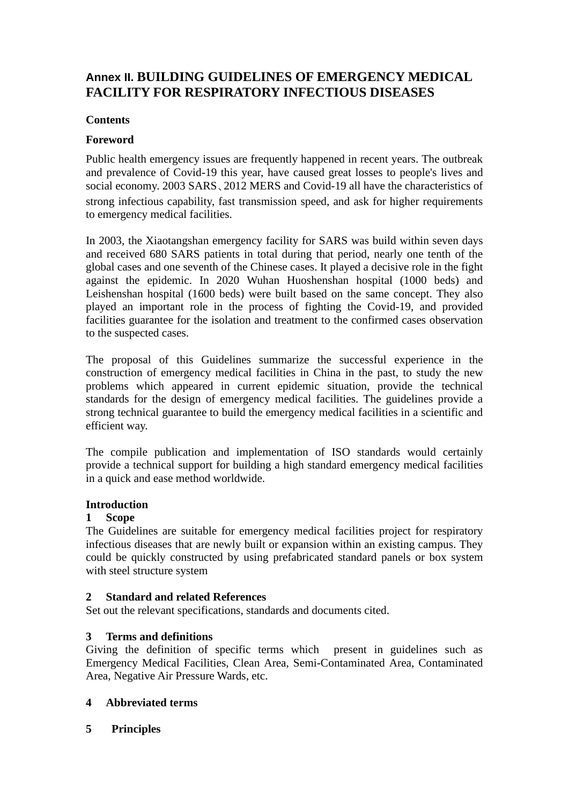## **Annex II. BUILDING GUIDELINES OF EMERGENCY MEDICAL FACILITY FOR RESPIRATORY INFECTIOUS DISEASES**

### **Contents**

### **Foreword**

Public health emergency issues are frequently happened in recent years. The outbreak and prevalence of Covid-19 this year, have caused great losses to people's lives and social economy. 2003 SARS、2012 MERS and Covid-19 all have the characteristics of strong infectious capability, fast transmission speed, and ask for higher requirements to emergency medical facilities.

In 2003, the Xiaotangshan emergency facility for SARS was build within seven days and received 680 SARS patients in total during that period, nearly one tenth of the global cases and one seventh of the Chinese cases. It played a decisive role in the fight against the epidemic. In 2020 Wuhan Huoshenshan hospital (1000 beds) and Leishenshan hospital (1600 beds) were built based on the same concept. They also played an important role in the process of fighting the Covid-19, and provided facilities guarantee for the isolation and treatment to the confirmed cases observation to the suspected cases.

The proposal of this Guidelines summarize the successful experience in the construction of emergency medical facilities in China in the past, to study the new problems which appeared in current epidemic situation, provide the technical standards for the design of emergency medical facilities. The guidelines provide a strong technical guarantee to build the emergency medical facilities in a scientific and efficient way.

The compile publication and implementation of ISO standards would certainly provide a technical support for building a high standard emergency medical facilities in a quick and ease method worldwide.

### **Introduction**

### **1 Scope**

The Guidelines are suitable for emergency medical facilities project for respiratory infectious diseases that are newly built or expansion within an existing campus. They could be quickly constructed by using prefabricated standard panels or box system with steel structure system

### **2 Standard and related References**

Set out the relevant specifications, standards and documents cited.

### **3 Terms and definitions**

Giving the definition of specific terms which present in guidelines such as Emergency Medical Facilities, Clean Area, Semi-Contaminated Area, Contaminated Area, Negative Air Pressure Wards, etc.

### **4 Abbreviated terms**

**5 Principles**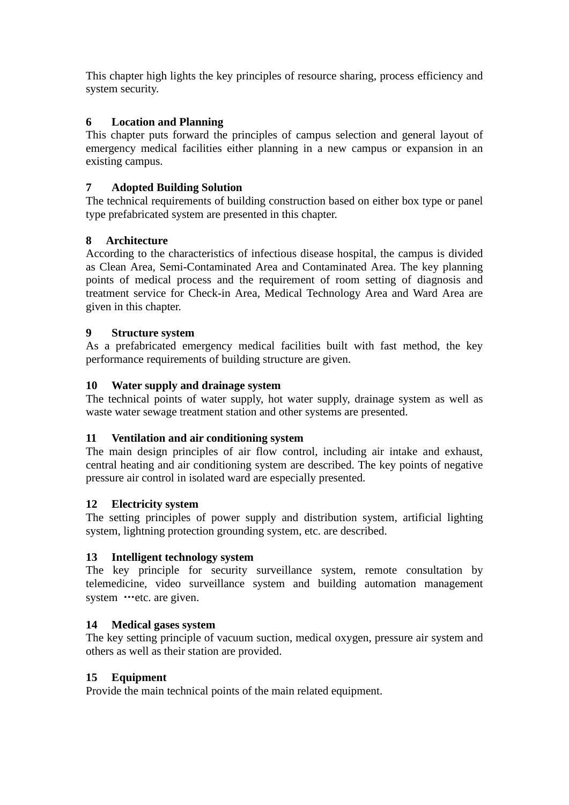This chapter high lights the key principles of resource sharing, process efficiency and system security.

### **6 Location and Planning**

This chapter puts forward the principles of campus selection and general layout of emergency medical facilities either planning in a new campus or expansion in an existing campus.

### **7 Adopted Building Solution**

The technical requirements of building construction based on either box type or panel type prefabricated system are presented in this chapter.

### **8 Architecture**

According to the characteristics of infectious disease hospital, the campus is divided as Clean Area, Semi-Contaminated Area and Contaminated Area. The key planning points of medical process and the requirement of room setting of diagnosis and treatment service for Check-in Area, Medical Technology Area and Ward Area are given in this chapter.

### **9 Structure system**

As a prefabricated emergency medical facilities built with fast method, the key performance requirements of building structure are given.

### **10 Water supply and drainage system**

The technical points of water supply, hot water supply, drainage system as well as waste water sewage treatment station and other systems are presented.

### **11 Ventilation and air conditioning system**

The main design principles of air flow control, including air intake and exhaust, central heating and air conditioning system are described. The key points of negative pressure air control in isolated ward are especially presented.

### **12 Electricity system**

The setting principles of power supply and distribution system, artificial lighting system, lightning protection grounding system, etc. are described.

### **13 Intelligent technology system**

The key principle for security surveillance system, remote consultation by telemedicine, video surveillance system and building automation management system …etc. are given.

### **14 Medical gases system**

The key setting principle of vacuum suction, medical oxygen, pressure air system and others as well as their station are provided.

### **15 Equipment**

Provide the main technical points of the main related equipment.